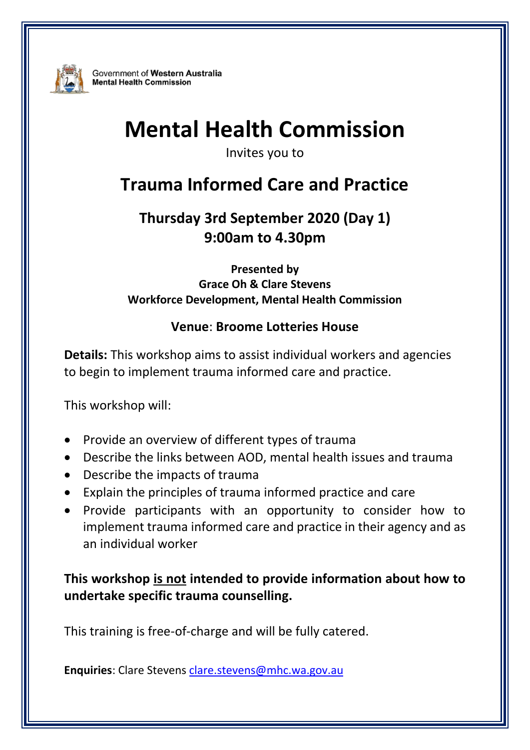

Government of Western Australia **Mental Health Commission** 

# **Mental Health Commission**

Invites you to

## **Trauma Informed Care and Practice**

### **Thursday 3rd September 2020 (Day 1) 9:00am to 4.30pm**

**Presented by Grace Oh & Clare Stevens Workforce Development, Mental Health Commission**

#### **Venue**: **Broome Lotteries House**

**Details:** This workshop aims to assist individual workers and agencies to begin to implement trauma informed care and practice.

This workshop will:

- Provide an overview of different types of trauma
- Describe the links between AOD, mental health issues and trauma
- Describe the impacts of trauma
- Explain the principles of trauma informed practice and care
- Provide participants with an opportunity to consider how to implement trauma informed care and practice in their agency and as an individual worker

**This workshop is not intended to provide information about how to undertake specific trauma counselling.**

This training is free-of-charge and will be fully catered.

**Enquiries**: Clare Stevens clare.stevens@mhc.wa.gov.au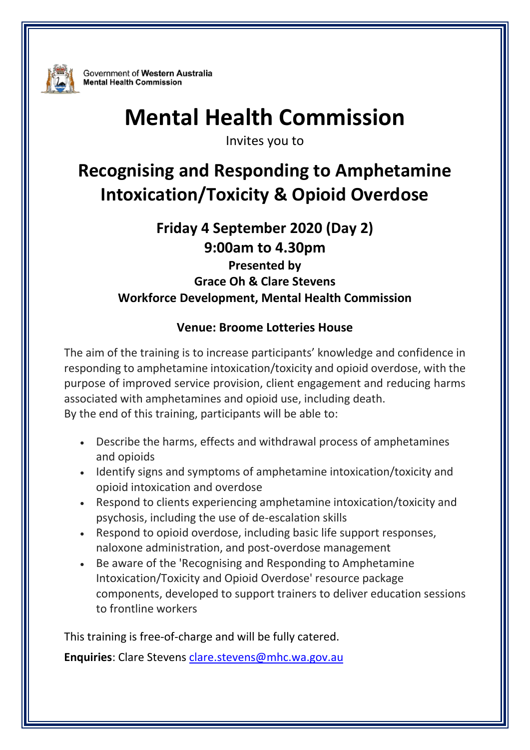

Government of Western Australia **Mental Health Commission** 

# **Mental Health Commission**

Invites you to

## **Recognising and Responding to Amphetamine Intoxication/Toxicity & Opioid Overdose**

### **Friday 4 September 2020 (Day 2) 9:00am to 4.30pm**

**Presented by Grace Oh & Clare Stevens Workforce Development, Mental Health Commission**

#### **Venue: Broome Lotteries House**

The aim of the training is to increase participants' knowledge and confidence in responding to amphetamine intoxication/toxicity and opioid overdose, with the purpose of improved service provision, client engagement and reducing harms associated with amphetamines and opioid use, including death. By the end of this training, participants will be able to:

- Describe the harms, effects and withdrawal process of amphetamines and opioids
- Identify signs and symptoms of amphetamine intoxication/toxicity and opioid intoxication and overdose
- Respond to clients experiencing amphetamine intoxication/toxicity and psychosis, including the use of de-escalation skills
- Respond to opioid overdose, including basic life support responses, naloxone administration, and post-overdose management
- Be aware of the 'Recognising and Responding to Amphetamine Intoxication/Toxicity and Opioid Overdose' resource package components, developed to support trainers to deliver education sessions to frontline workers

This training is free-of-charge and will be fully catered. **Enquiries**: Clare Stevens clare.stevens@mhc.wa.gov.au